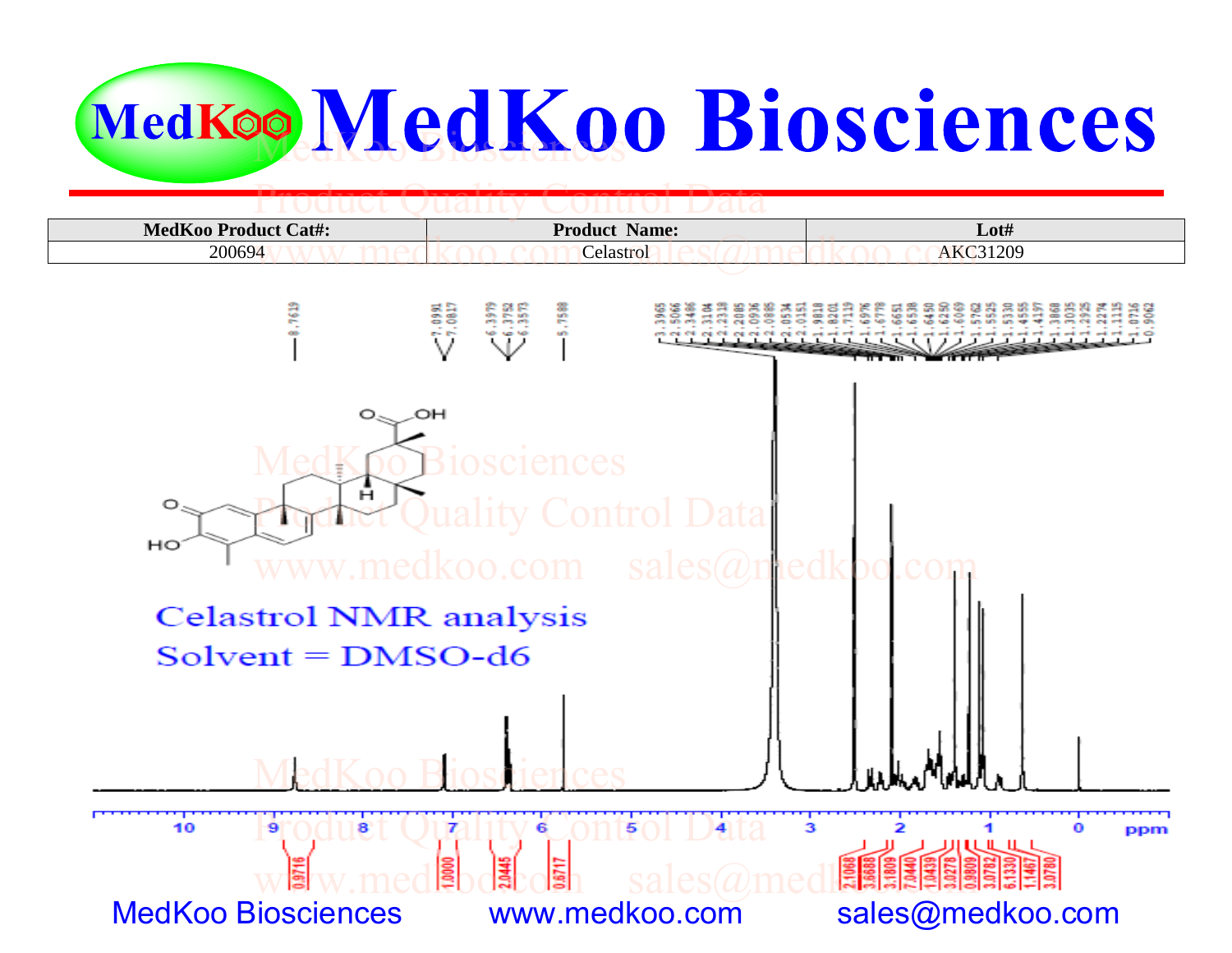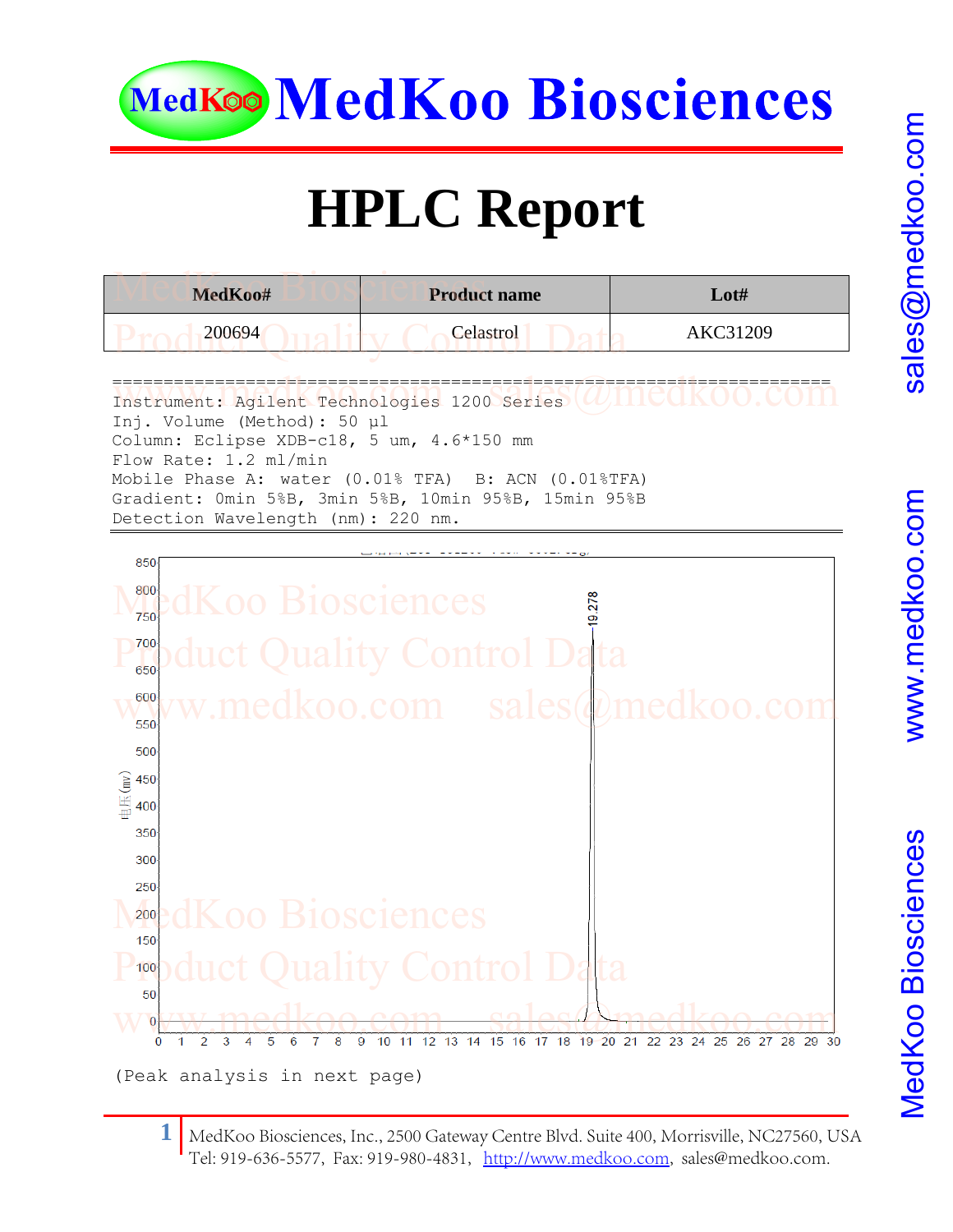

## **HPLC Report**

| MedKoo#                                      | <b>Product name</b> | $\mathbf{L}$ ot# |  |  |  |
|----------------------------------------------|---------------------|------------------|--|--|--|
| 200694                                       | Celastrol           | AKC31209         |  |  |  |
| Instrument: Agilent Technologies 1200 Series |                     |                  |  |  |  |

Inj. Volume (Method): 50 μl Column: Eclipse XDB-c18, 5 um, 4.6\*150 mm Flow Rate: 1.2 ml/min Mobile Phase A: water (0.01% TFA) B: ACN (0.01%TFA) Gradient: 0min 5%B, 3min 5%B, 10min 95%B, 15min 95%B Detection Wavelength (nm): 220 nm.



**1** MedKoo Biosciences, Inc., 2500 Gateway Cent[re Blvd. Suite 400, M](http://www.medkoo.com/)orrisville, NC27560, USA Tel: 919-636-5577, Fax: 919-980-4831, http://www.medkoo.com, sales@medkoo.com.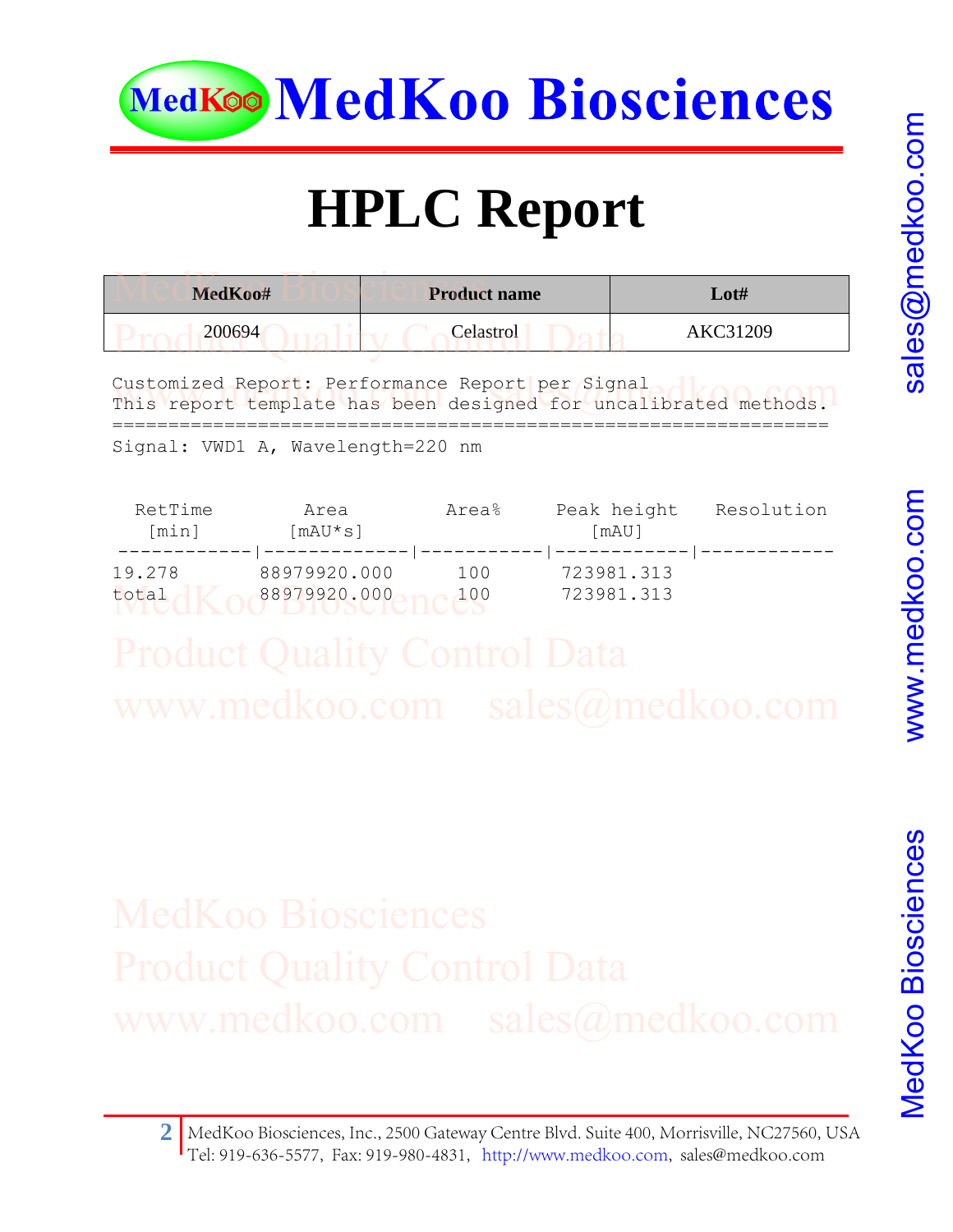

# **HPLC Report**

| MedKoo# | <b>Product name</b> | $\mathbf{Lot} \#$ |
|---------|---------------------|-------------------|
| 200694  | Celastrol           | AKC31209          |
|         |                     |                   |

Customized Report: Performance Report per Signal Customized Report: Performance Report per Signal and Communist Communist report template has been designed for uncalibrated methods. ================================================================

Signal: VWD1 A, Wavelength=220 nm

| RetTime<br>[min] | Area<br>[mAU*s] | Area% | Peak height<br>[mAU] | Resolution |
|------------------|-----------------|-------|----------------------|------------|
| 19.278           | 88979920.000    | 100   | 723981.313           |            |
| total            | 88979920.000    | 100   | 723981.313           |            |

www.medkoo.com

**2** MedKoo Biosciences, Inc., 2500 Gateway Centre Blvd. Suite 400, Morrisville, NC27560, USA Tel: 919-636-5577, Fax: 919-980-4831, http://[www.medkoo.com,](http://www.medkoo.com/) sales@medkoo.com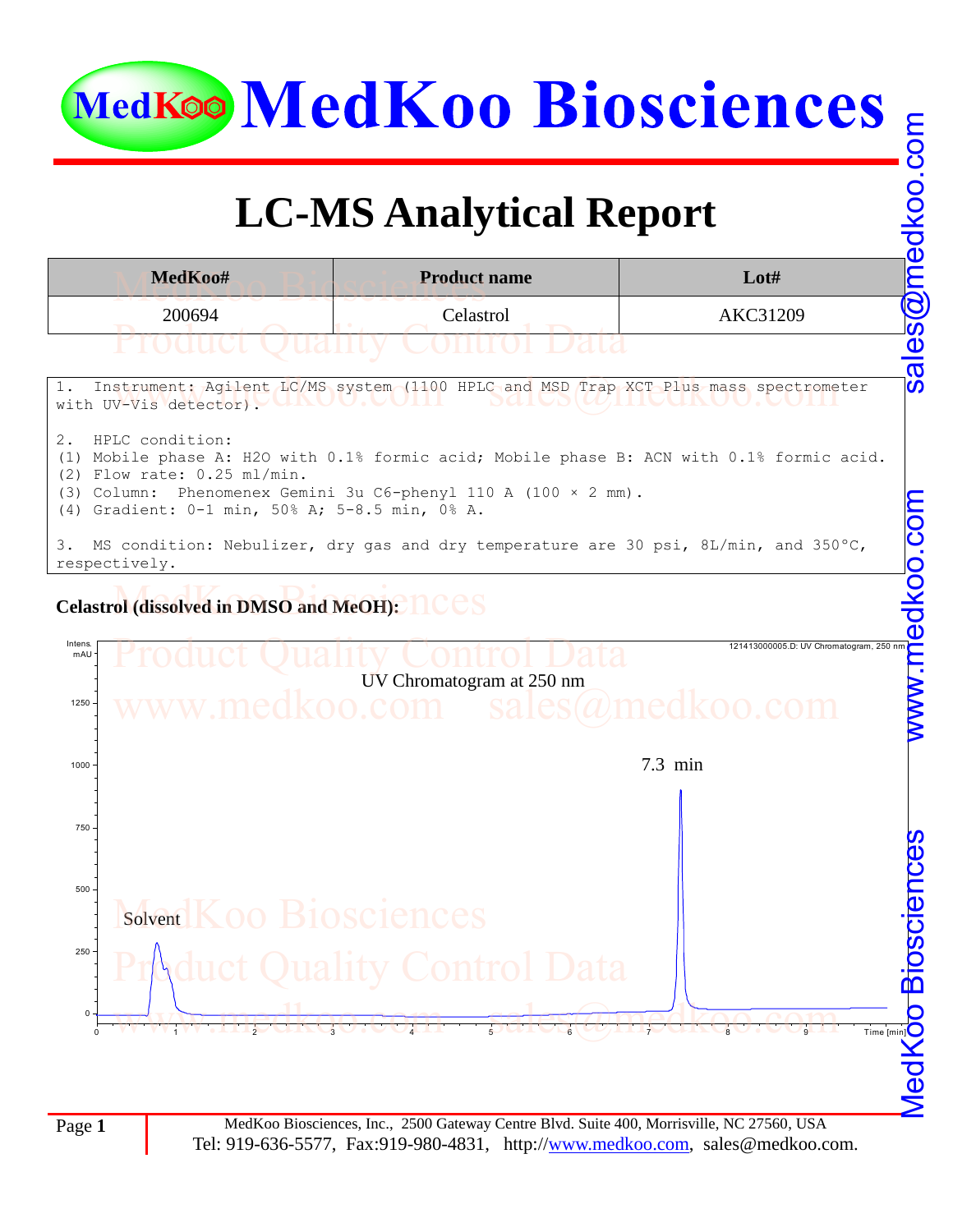### **LC-MS Analytical Report**





Page 1 MedKoo Biosciences, Inc., 2500 Gateway Centre Blvd. Suite 400, Morrisville, NC 27560, USA Tel: 919-636-5577, Fax: 919-980-4831, http:/[/www.medkoo.com,](http://www.medkoo.com/) sales@medkoo.com.